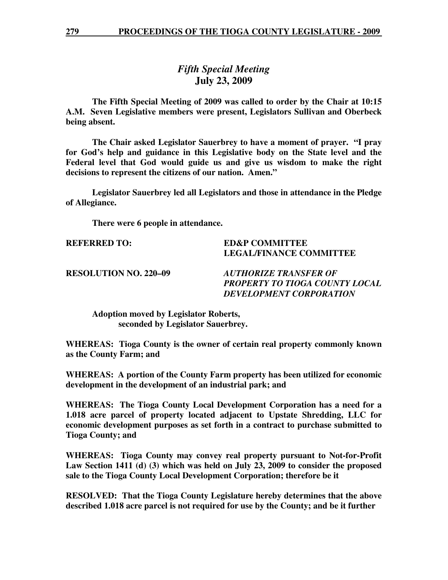## *Fifth Special Meeting*  **July 23, 2009**

 **The Fifth Special Meeting of 2009 was called to order by the Chair at 10:15 A.M. Seven Legislative members were present, Legislators Sullivan and Oberbeck being absent.** 

**The Chair asked Legislator Sauerbrey to have a moment of prayer. "I pray for God's help and guidance in this Legislative body on the State level and the Federal level that God would guide us and give us wisdom to make the right decisions to represent the citizens of our nation. Amen."** 

 **Legislator Sauerbrey led all Legislators and those in attendance in the Pledge of Allegiance.** 

 **There were 6 people in attendance.** 

## **REFERRED TO: ED&P COMMITTEE LEGAL/FINANCE COMMITTEE**

**RESOLUTION NO. 220–09** *AUTHORIZE TRANSFER OF PROPERTY TO TIOGA COUNTY LOCAL DEVELOPMENT CORPORATION* 

 **Adoption moved by Legislator Roberts, seconded by Legislator Sauerbrey.** 

**WHEREAS: Tioga County is the owner of certain real property commonly known as the County Farm; and** 

**WHEREAS: A portion of the County Farm property has been utilized for economic development in the development of an industrial park; and** 

**WHEREAS: The Tioga County Local Development Corporation has a need for a 1.018 acre parcel of property located adjacent to Upstate Shredding, LLC for economic development purposes as set forth in a contract to purchase submitted to Tioga County; and** 

**WHEREAS: Tioga County may convey real property pursuant to Not-for-Profit Law Section 1411 (d) (3) which was held on July 23, 2009 to consider the proposed sale to the Tioga County Local Development Corporation; therefore be it** 

**RESOLVED: That the Tioga County Legislature hereby determines that the above described 1.018 acre parcel is not required for use by the County; and be it further**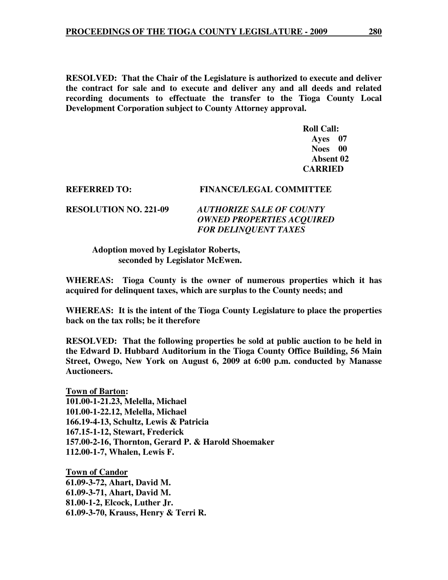**RESOLVED: That the Chair of the Legislature is authorized to execute and deliver the contract for sale and to execute and deliver any and all deeds and related recording documents to effectuate the transfer to the Tioga County Local Development Corporation subject to County Attorney approval.** 

 **Roll Call: Ayes 07 Noes 00 Absent 02 CARRIED** 

## **REFERRED TO: FINANCE/LEGAL COMMITTEE**

**RESOLUTION NO. 221-09** *AUTHORIZE SALE OF COUNTY OWNED PROPERTIES ACQUIRED FOR DELINQUENT TAXES* 

 **Adoption moved by Legislator Roberts, seconded by Legislator McEwen.** 

**WHEREAS: Tioga County is the owner of numerous properties which it has acquired for delinquent taxes, which are surplus to the County needs; and** 

**WHEREAS: It is the intent of the Tioga County Legislature to place the properties back on the tax rolls; be it therefore** 

**RESOLVED: That the following properties be sold at public auction to be held in the Edward D. Hubbard Auditorium in the Tioga County Office Building, 56 Main Street, Owego, New York on August 6, 2009 at 6:00 p.m. conducted by Manasse Auctioneers.** 

**Town of Barton: 101.00-1-21.23, Melella, Michael 101.00-1-22.12, Melella, Michael 166.19-4-13, Schultz, Lewis & Patricia 167.15-1-12, Stewart, Frederick 157.00-2-16, Thornton, Gerard P. & Harold Shoemaker 112.00-1-7, Whalen, Lewis F.** 

**Town of Candor 61.09-3-72, Ahart, David M. 61.09-3-71, Ahart, David M. 81.00-1-2, Elcock, Luther Jr. 61.09-3-70, Krauss, Henry & Terri R.**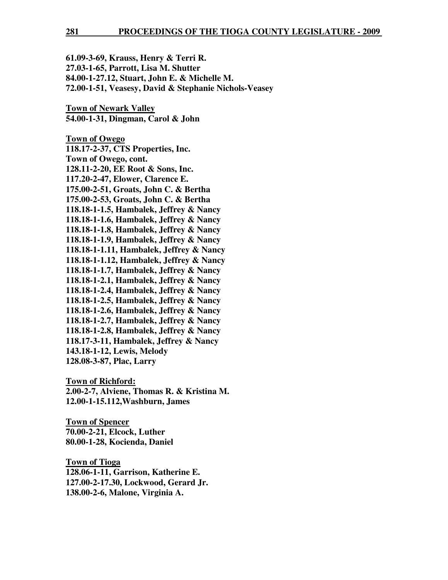| 61.09-3-69, Krauss, Henry & Terri R.                  |
|-------------------------------------------------------|
| 27.03-1-65, Parrott, Lisa M. Shutter                  |
| 84.00-1-27.12, Stuart, John E. & Michelle M.          |
| 72.00-1-51, Veasesy, David & Stephanie Nichols-Veasey |

**Town of Newark Valley 54.00-1-31, Dingman, Carol & John** 

**Town of Owego 118.17-2-37, CTS Properties, Inc. Town of Owego, cont. 128.11-2-20, EE Root & Sons, Inc. 117.20-2-47, Elower, Clarence E. 175.00-2-51, Groats, John C. & Bertha 175.00-2-53, Groats, John C. & Bertha 118.18-1-1.5, Hambalek, Jeffrey & Nancy 118.18-1-1.6, Hambalek, Jeffrey & Nancy 118.18-1-1.8, Hambalek, Jeffrey & Nancy 118.18-1-1.9, Hambalek, Jeffrey & Nancy 118.18-1-1.11, Hambalek, Jeffrey & Nancy 118.18-1-1.12, Hambalek, Jeffrey & Nancy 118.18-1-1.7, Hambalek, Jeffrey & Nancy 118.18-1-2.1, Hambalek, Jeffrey & Nancy 118.18-1-2.4, Hambalek, Jeffrey & Nancy 118.18-1-2.5, Hambalek, Jeffrey & Nancy 118.18-1-2.6, Hambalek, Jeffrey & Nancy 118.18-1-2.7, Hambalek, Jeffrey & Nancy 118.18-1-2.8, Hambalek, Jeffrey & Nancy 118.17-3-11, Hambalek, Jeffrey & Nancy 143.18-1-12, Lewis, Melody 128.08-3-87, Plac, Larry** 

**Town of Richford:**

**2.00-2-7, Alviene, Thomas R. & Kristina M. 12.00-1-15.112,Washburn, James** 

**Town of Spencer 70.00-2-21, Elcock, Luther 80.00-1-28, Kocienda, Daniel** 

**Town of Tioga 128.06-1-11, Garrison, Katherine E. 127.00-2-17.30, Lockwood, Gerard Jr. 138.00-2-6, Malone, Virginia A.**